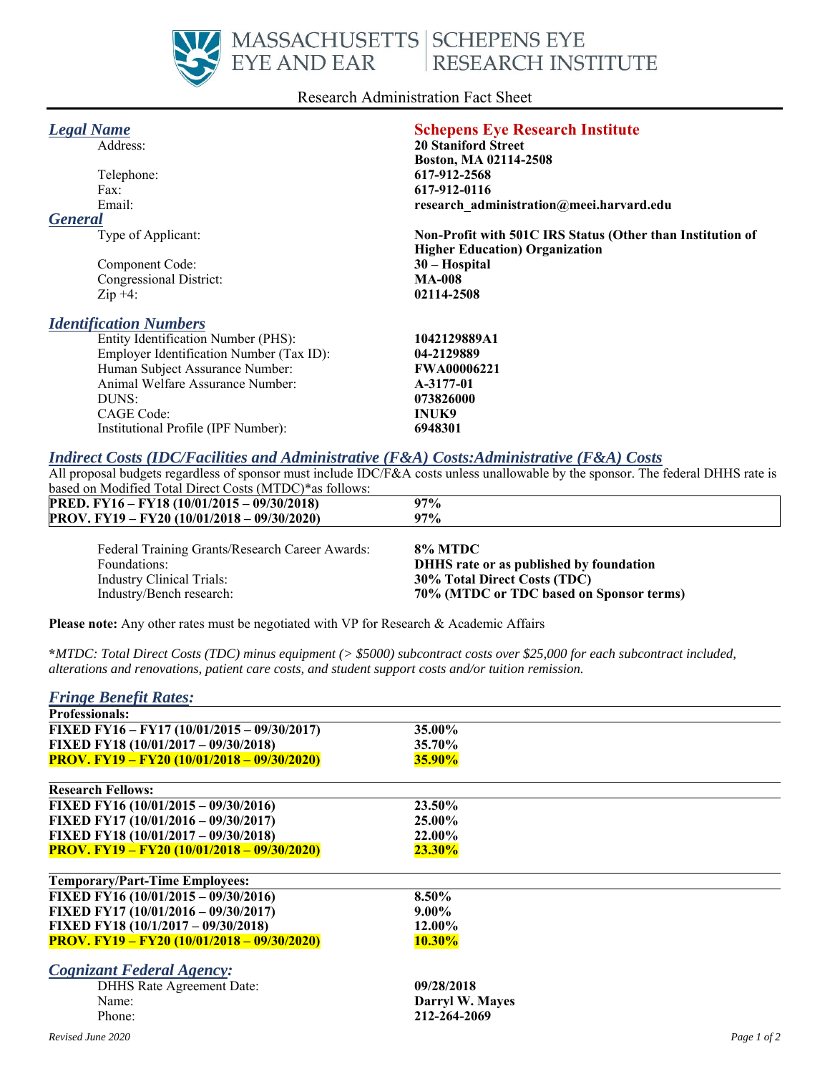

#### Research Administration Fact Sheet

| <b>Legal Name</b>                        | <b>Schepens Eye Research Institute</b>                     |
|------------------------------------------|------------------------------------------------------------|
| Address:                                 | <b>20 Staniford Street</b>                                 |
|                                          | Boston, MA 02114-2508                                      |
| Telephone:                               | 617-912-2568                                               |
| Fax:                                     | 617-912-0116                                               |
| Email:                                   | research administration@meei.harvard.edu                   |
| <b>General</b>                           |                                                            |
| Type of Applicant:                       | Non-Profit with 501C IRS Status (Other than Institution of |
|                                          | <b>Higher Education</b> ) Organization                     |
| Component Code:                          | 30 - Hospital                                              |
| Congressional District:                  | <b>MA-008</b>                                              |
| $\mathop{\mathrm{Zip}}+4$ :              | 02114-2508                                                 |
| <b>Identification Numbers</b>            |                                                            |
| Entity Identification Number (PHS):      | 1042129889A1                                               |
| Employer Identification Number (Tax ID): | 04-2129889                                                 |
| Human Subject Assurance Number:          | <b>FWA00006221</b>                                         |
| Animal Welfare Assurance Number:         | A-3177-01                                                  |
| DUNS:                                    | 073826000                                                  |
| CAGE Code:                               | <b>INUK9</b>                                               |

## *Indirect Costs (IDC/Facilities and Administrative (F&A) Costs:Administrative (F&A) Costs*

All proposal budgets regardless of sponsor must include IDC/F&A costs unless unallowable by the sponsor. The federal DHHS rate is based on Modified Total Direct Costs (MTDC)\*as follows:

| <b>PRED.</b> FY16 – FY18 (10/01/2015 – 09/30/2018) | $97\%$              |
|----------------------------------------------------|---------------------|
| PROV. FY19 – FY20 (10/01/2018 – 09/30/2020)        | 97%                 |
| $\mathbf{r}$ in $\mathbf{r}$ in $\mathbf{r}$       | $0.07$ b $\sqrt{2}$ |

| Federal Training Grants/Research Career Awards: | 8% MTDC                                  |
|-------------------------------------------------|------------------------------------------|
| Foundations:                                    | DHHS rate or as published by foundation  |
| Industry Clinical Trials:                       | 30% Total Direct Costs (TDC)             |
| Industry/Bench research:                        | 70% (MTDC or TDC based on Sponsor terms) |

**Please note:** Any other rates must be negotiated with VP for Research & Academic Affairs

Institutional Profile (IPF Number): **6948301**

**\****MTDC: Total Direct Costs (TDC) minus equipment (> \$5000) subcontract costs over \$25,000 for each subcontract included, alterations and renovations, patient care costs, and student support costs and/or tuition remission.*

| <b>Fringe Benefit Rates:</b>                       |                 |             |
|----------------------------------------------------|-----------------|-------------|
| <b>Professionals:</b>                              |                 |             |
| FIXED FY16 - FY17 (10/01/2015 - 09/30/2017)        | 35.00%          |             |
| FIXED FY18 (10/01/2017 - 09/30/2018)               | 35.70%          |             |
| <b>PROV. FY19 – FY20 (10/01/2018 – 09/30/2020)</b> | <b>35.90%</b>   |             |
| <b>Research Fellows:</b>                           |                 |             |
| FIXED FY16 $(10/01/2015 - 09/30/2016)$             | 23.50%          |             |
| FIXED FY17 (10/01/2016 - 09/30/2017)               | 25.00%          |             |
| FIXED FY18 (10/01/2017 - 09/30/2018)               | 22.00%          |             |
| <b>PROV. FY19 – FY20 (10/01/2018 – 09/30/2020)</b> | $23.30\%$       |             |
| <b>Temporary/Part-Time Employees:</b>              |                 |             |
| FIXED FY16 (10/01/2015 - 09/30/2016)               | 8.50%           |             |
| FIXED FY17 (10/01/2016 - 09/30/2017)               | $9.00\%$        |             |
| FIXED FY18 (10/1/2017 - 09/30/2018)                | 12.00%          |             |
| <b>PROV. FY19 – FY20 (10/01/2018 – 09/30/2020)</b> | $10.30\%$       |             |
| <b>Cognizant Federal Agency:</b>                   |                 |             |
| DHHS Rate Agreement Date:                          | 09/28/2018      |             |
| Name:                                              | Darryl W. Mayes |             |
| Phone:                                             | 212-264-2069    |             |
| Revised June 2020                                  |                 | Page 1 of 2 |